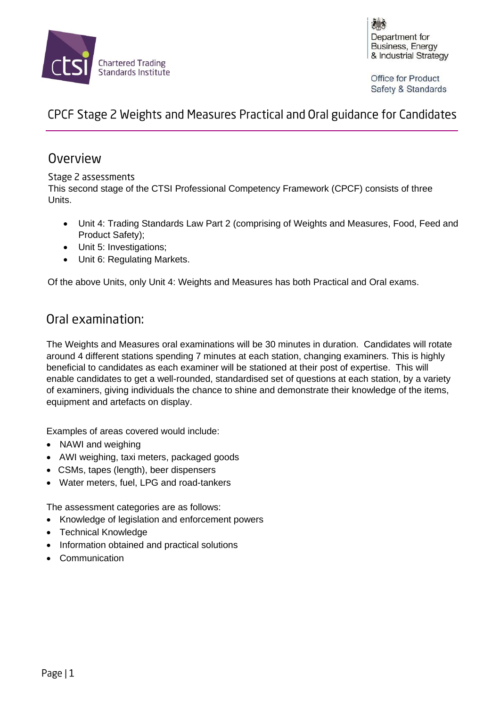

Department for Business, Energy & Industrial Strategy

**Office for Product** Safety & Standards

# CPCF Stage 2 Weights and Measures Practical and Oral guidance for Candidates

### Overview

#### Stage 2 assessments

This second stage of the CTSI Professional Competency Framework (CPCF) consists of three Units.

- Unit 4: Trading Standards Law Part 2 (comprising of Weights and Measures, Food, Feed and Product Safety);
- Unit 5: Investigations;
- Unit 6: Regulating Markets.

Of the above Units, only Unit 4: Weights and Measures has both Practical and Oral exams.

## Oral examination:

The Weights and Measures oral examinations will be 30 minutes in duration. Candidates will rotate around 4 different stations spending 7 minutes at each station, changing examiners. This is highly beneficial to candidates as each examiner will be stationed at their post of expertise. This will enable candidates to get a well-rounded, standardised set of questions at each station, by a variety of examiners, giving individuals the chance to shine and demonstrate their knowledge of the items, equipment and artefacts on display.

Examples of areas covered would include:

- NAWI and weighing
- AWI weighing, taxi meters, packaged goods
- CSMs, tapes (length), beer dispensers
- Water meters, fuel, LPG and road-tankers

The assessment categories are as follows:

- Knowledge of legislation and enforcement powers
- Technical Knowledge
- Information obtained and practical solutions
- Communication